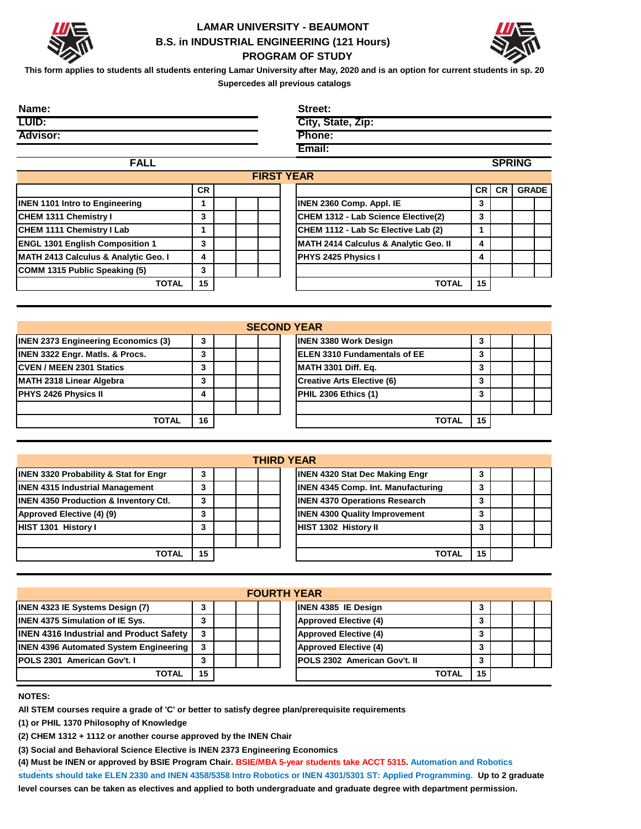

## **LAMAR UNIVERSITY - BEAUMONT B.S. in INDUSTRIAL ENGINEERING (121 Hours) PROGRAM OF STUDY**



**This form applies to students all students entering Lamar University after May, 2020 and is an option for current students in sp. 20 Supercedes all previous catalogs**

| Name:           | Street:           |
|-----------------|-------------------|
| LUID:           | City, State, Zip: |
| <b>Advisor:</b> | Phone:            |
|                 | Email:            |

|           | <b>FIRST YEAR</b> |                                       |      |           |              |  |
|-----------|-------------------|---------------------------------------|------|-----------|--------------|--|
| <b>CR</b> |                   |                                       | CR I | <b>CR</b> | <b>GRADE</b> |  |
|           |                   | <b>INEN 2360 Comp. Appl. IE</b>       | 3    |           |              |  |
| 3         |                   | CHEM 1312 - Lab Science Elective(2)   | 3    |           |              |  |
|           |                   | CHEM 1112 - Lab Sc Elective Lab (2)   |      |           |              |  |
| 3         |                   | MATH 2414 Calculus & Analytic Geo. II | 4    |           |              |  |
| 4         |                   | <b>PHYS 2425 Physics I</b>            | 4    |           |              |  |
| 3         |                   |                                       |      |           |              |  |
| 15        |                   | <b>TOTAL</b>                          | 15   |           |              |  |
|           |                   |                                       |      |           |              |  |

|                                            |    |  |  | <b>SECOND YEAR</b>                   |    |  |  |
|--------------------------------------------|----|--|--|--------------------------------------|----|--|--|
| <b>INEN 2373 Engineering Economics (3)</b> | 3  |  |  | <b>INEN 3380 Work Design</b>         |    |  |  |
| <b>INEN 3322 Engr. Matls. &amp; Procs.</b> | 3  |  |  | <b>IELEN 3310 Fundamentals of EE</b> |    |  |  |
| <b>ICVEN / MEEN 2301 Statics</b>           | 3  |  |  | <b>MATH 3301 Diff. Eq.</b>           |    |  |  |
| MATH 2318 Linear Algebra                   | 3  |  |  | Creative Arts Elective (6)           |    |  |  |
| <b>PHYS 2426 Physics II</b>                |    |  |  | PHIL 2306 Ethics (1)                 |    |  |  |
|                                            |    |  |  |                                      |    |  |  |
| TOTAL                                      | 16 |  |  | <b>TOTAL</b>                         | 15 |  |  |

|                                                  |    |  | <b>THIRD YEAR</b>                         |    |  |  |
|--------------------------------------------------|----|--|-------------------------------------------|----|--|--|
| <b>INEN 3320 Probability &amp; Stat for Engr</b> | 3  |  | <b>INEN 4320 Stat Dec Making Engr</b>     |    |  |  |
| <b>INEN 4315 Industrial Management</b>           | 3  |  | <b>INEN 4345 Comp. Int. Manufacturing</b> |    |  |  |
| <b>INEN 4350 Production &amp; Inventory Ctl.</b> | 3  |  | <b>INEN 4370 Operations Research</b>      | 3  |  |  |
| Approved Elective (4) (9)                        | 3  |  | <b>INEN 4300 Quality Improvement</b>      | 3  |  |  |
| HIST 1301 History I                              | 3  |  | HIST 1302 History II                      |    |  |  |
|                                                  |    |  |                                           |    |  |  |
| TOTAL                                            | 15 |  | <b>TOTAL</b>                              | 15 |  |  |

| <b>FOURTH YEAR</b>                             |    |  |  |  |                                     |              |    |  |  |  |
|------------------------------------------------|----|--|--|--|-------------------------------------|--------------|----|--|--|--|
| <b>INEN 4323 IE Systems Design (7)</b>         | 3  |  |  |  | <b>INEN 4385 IE Design</b>          |              | 3  |  |  |  |
| <b>INEN 4375 Simulation of IE Sys.</b>         | 3  |  |  |  | <b>Approved Elective (4)</b>        |              |    |  |  |  |
| <b>INEN 4316 Industrial and Product Safety</b> | 3  |  |  |  | <b>Approved Elective (4)</b>        |              | 3  |  |  |  |
| <b>INEN 4396 Automated System Engineering</b>  | 3  |  |  |  | <b>Approved Elective (4)</b>        |              |    |  |  |  |
| <b>IPOLS 2301 American Gov't. I</b>            | 3  |  |  |  | <b>POLS 2302 American Gov't. II</b> |              |    |  |  |  |
| TOTAL                                          | 15 |  |  |  |                                     | <b>TOTAL</b> | 15 |  |  |  |

**NOTES:** 

**All STEM courses require a grade of 'C' or better to satisfy degree plan/prerequisite requirements**

**(1) or PHIL 1370 Philosophy of Knowledge**

**(2) CHEM 1312 + 1112 or another course approved by the INEN Chair**

**(3) Social and Behavioral Science Elective is INEN 2373 Engineering Economics**

**(4) Must be INEN or approved by BSIE Program Chair. BSIE/MBA 5-year students take ACCT 5315. Automation and Robotics**  students should take ELEN 2330 and INEN 4358/5358 Intro Robotics or INEN 4301/5301 ST: Applied Programming. Up to 2 graduate **level courses can be taken as electives and applied to both undergraduate and graduate degree with department permission.**